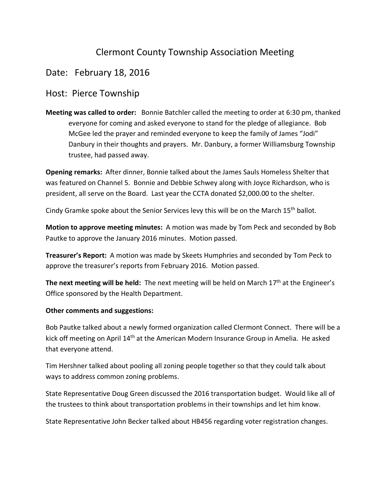## Clermont County Township Association Meeting

## Date: February 18, 2016

## Host: Pierce Township

**Meeting was called to order:** Bonnie Batchler called the meeting to order at 6:30 pm, thanked everyone for coming and asked everyone to stand for the pledge of allegiance. Bob McGee led the prayer and reminded everyone to keep the family of James "Jodi" Danbury in their thoughts and prayers. Mr. Danbury, a former Williamsburg Township trustee, had passed away.

**Opening remarks:** After dinner, Bonnie talked about the James Sauls Homeless Shelter that was featured on Channel 5. Bonnie and Debbie Schwey along with Joyce Richardson, who is president, all serve on the Board. Last year the CCTA donated \$2,000.00 to the shelter.

Cindy Gramke spoke about the Senior Services levy this will be on the March 15th ballot.

**Motion to approve meeting minutes:** A motion was made by Tom Peck and seconded by Bob Pautke to approve the January 2016 minutes. Motion passed.

**Treasurer's Report:** A motion was made by Skeets Humphries and seconded by Tom Peck to approve the treasurer's reports from February 2016. Motion passed.

**The next meeting will be held:** The next meeting will be held on March 17th at the Engineer's Office sponsored by the Health Department.

## **Other comments and suggestions:**

Bob Pautke talked about a newly formed organization called Clermont Connect. There will be a kick off meeting on April 14<sup>th</sup> at the American Modern Insurance Group in Amelia. He asked that everyone attend.

Tim Hershner talked about pooling all zoning people together so that they could talk about ways to address common zoning problems.

State Representative Doug Green discussed the 2016 transportation budget. Would like all of the trustees to think about transportation problems in their townships and let him know.

State Representative John Becker talked about HB456 regarding voter registration changes.